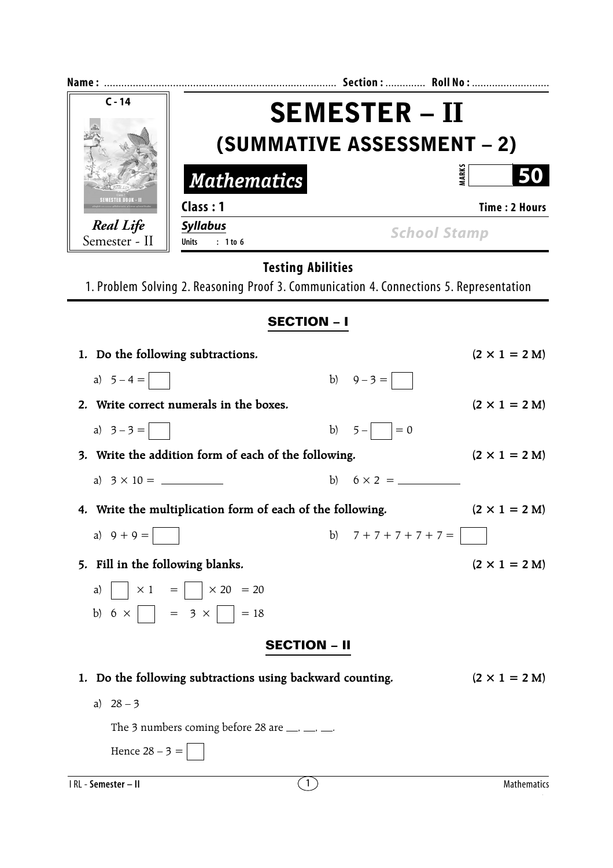| $C - 14$                                                                                | <b>SEMESTER – II</b>                            |                      |  |  |  |  |
|-----------------------------------------------------------------------------------------|-------------------------------------------------|----------------------|--|--|--|--|
|                                                                                         | (SUMMATIVE ASSESSMENT - 2)                      |                      |  |  |  |  |
| <b>Mathematics</b>                                                                      |                                                 | <b>MARKS</b>         |  |  |  |  |
| SEMESTER BOOK - II<br>Class: 1                                                          |                                                 | <b>Time: 2 Hours</b> |  |  |  |  |
| <b>Real Life</b><br><b>Syllabus</b><br>Semester - II<br>$: 1$ to 6<br>Units             | <b>School Stamp</b>                             |                      |  |  |  |  |
| 1. Problem Solving 2. Reasoning Proof 3. Communication 4. Connections 5. Representation | <b>Testing Abilities</b>                        |                      |  |  |  |  |
|                                                                                         | <b>SECTION - I</b>                              |                      |  |  |  |  |
| 1. Do the following subtractions.                                                       |                                                 | $(2 \times 1 = 2 M)$ |  |  |  |  |
| a) $5-4=$                                                                               | b) $9-3=$                                       |                      |  |  |  |  |
| 2. Write correct numerals in the boxes.                                                 |                                                 | $(2 \times 1 = 2 M)$ |  |  |  |  |
| a) $3 - 3 =$                                                                            | $5 -$   = 0<br>b)                               |                      |  |  |  |  |
| 3. Write the addition form of each of the following.                                    |                                                 | $(2 \times 1 = 2 M)$ |  |  |  |  |
|                                                                                         |                                                 |                      |  |  |  |  |
| 4. Write the multiplication form of each of the following.                              |                                                 | $(2 \times 1 = 2 M)$ |  |  |  |  |
| a) $9 + 9 =$                                                                            | b) $7 + 7 + 7 + 7 + 7 =$                        | $\mathbf{I}$         |  |  |  |  |
| 5. Fill in the following blanks.                                                        |                                                 | $(2 \times 1 = 2 M)$ |  |  |  |  |
| $\vert \times 1 \vert = \vert \vert \times 20 \vert = 20$<br>a)                         |                                                 |                      |  |  |  |  |
| b) $6 \times  $ $= 3 \times  $ $= 18$                                                   |                                                 |                      |  |  |  |  |
|                                                                                         | <b>SECTION – II</b>                             |                      |  |  |  |  |
| 1. Do the following subtractions using backward counting.                               |                                                 | $(2 \times 1 = 2 M)$ |  |  |  |  |
| a) $28 - 3$                                                                             |                                                 |                      |  |  |  |  |
| The 3 numbers coming before 28 are $\_\_\_\$ $\_\_\_\$                                  |                                                 |                      |  |  |  |  |
| Hence $28 - 3 =$                                                                        |                                                 |                      |  |  |  |  |
| I RL - Semester - II                                                                    | $\left  \begin{array}{c} 1 \end{array} \right $ | <b>Mathematics</b>   |  |  |  |  |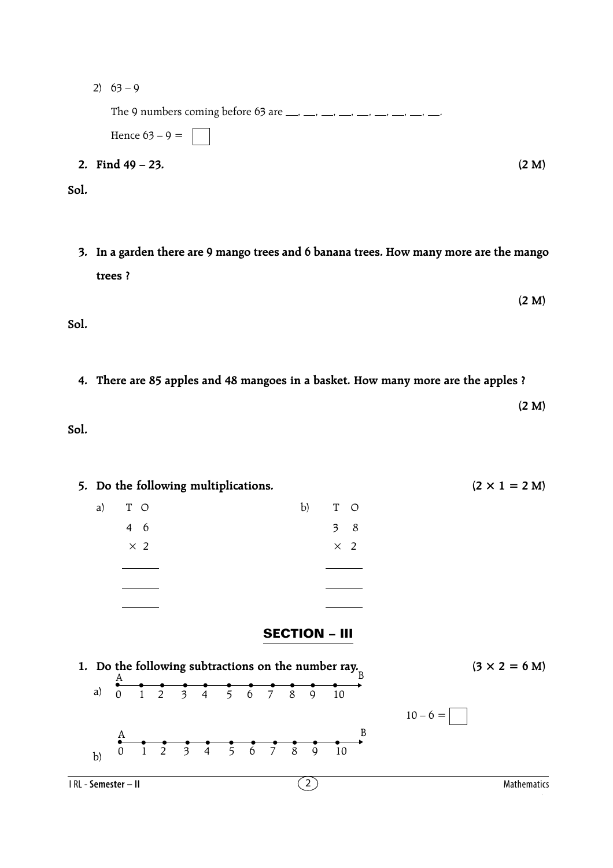2)  $63 - 9$ 

The 9 numbers coming before 63 are  $\frac{1}{2}$ ,  $\frac{1}{2}$ ,  $\frac{1}{2}$ ,  $\frac{1}{2}$ ,  $\frac{1}{2}$ ,  $\frac{1}{2}$ ,  $\frac{1}{2}$ 

Hence  $63 - 9 =$ **2. Find 49 – 23. (2 M)**

**Sol.**

**3. In a garden there are 9 mango trees and 6 banana trees. How many more are the mango trees ?**

**(2 M) Sol.**

**4. There are 85 apples and 48 mangoes in a basket. How many more are the apples ?**

**(2 M)**

**Sol.**

5. Do the following multiplications.  $(2 \times 1 = 2 M)$ a) T O b) T O 4 6 3 8  $\times$  2  $\times$  2 **SECTION – III 1.** Do the following subtractions on the number ray.  $(3 \times 2 = 6 \text{ M})$ a)  $10 - 6 =$  $\begin{array}{ccc} \mathbf{A} & \mathbf{B} & \mathbf{B} & \mathbf{B} & \mathbf{B} & \mathbf{B} & \mathbf{B} & \mathbf{B} & \mathbf{B} & \mathbf{B} & \mathbf{B} & \mathbf{B} & \mathbf{B} & \mathbf{B} & \mathbf{B} & \mathbf{B} & \mathbf{B} & \mathbf{B} & \mathbf{B} & \mathbf{B} & \mathbf{B} & \mathbf{B} & \mathbf{B} & \mathbf{B} & \mathbf{B} & \mathbf{B} & \mathbf{B} & \mathbf{B} & \mathbf{B} & \mathbf{B} & \mathbf$ 0 1 2 3 4 5 6 7 8 9 10 A  $\stackrel{\text{A}}{\bullet}$   $\stackrel{\bullet}{\bullet}$   $\stackrel{\bullet}{\bullet}$   $\stackrel{\bullet}{\bullet}$   $\stackrel{\bullet}{\bullet}$   $\stackrel{\bullet}{\bullet}$   $\stackrel{\bullet}{\bullet}$   $\stackrel{\bullet}{\bullet}$   $\stackrel{\bullet}{\bullet}$   $\stackrel{\bullet}{\bullet}$   $\stackrel{\bullet}{\bullet}$   $\stackrel{\bullet}{\bullet}$ A

b)

0 1 2 3 4 5 6 7 8 9 10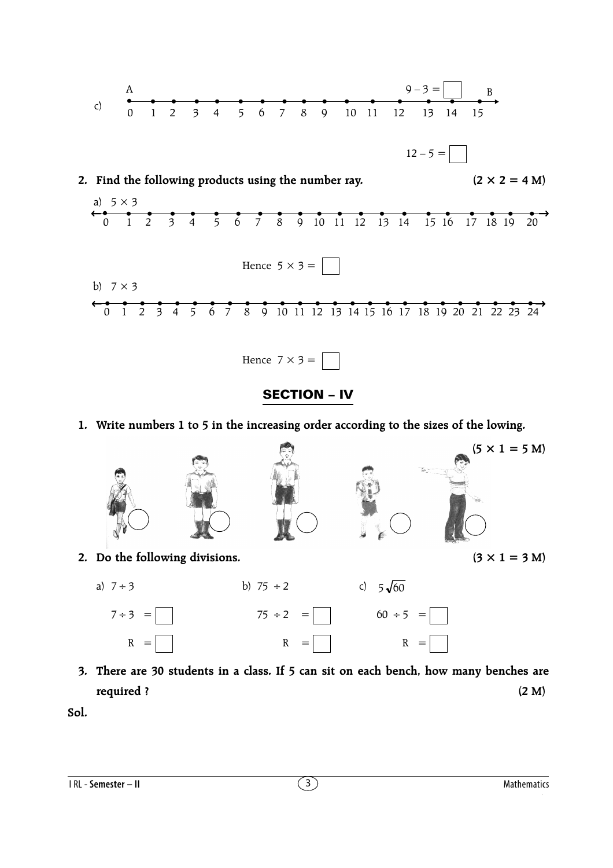



## **1. Write numbers 1 to 5 in the increasing order according to the sizes of the lowing.**



**3. There are 30 students in a class. If 5 can sit on each bench, how many benches are required ? (2 M)**

**Sol.**